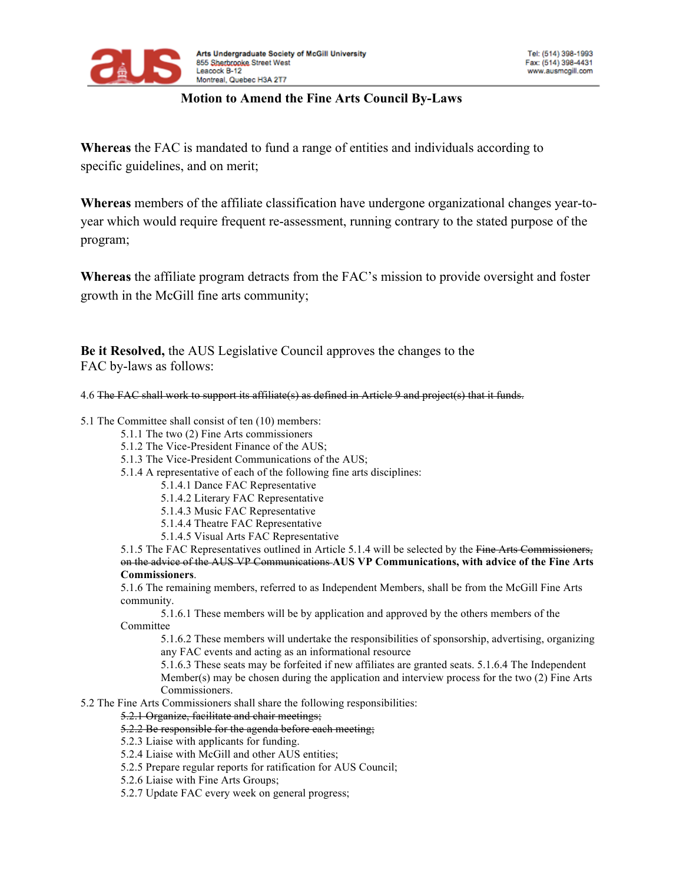

## **Motion to Amend the Fine Arts Council By-Laws**

**Whereas** the FAC is mandated to fund a range of entities and individuals according to specific guidelines, and on merit;

**Whereas** members of the affiliate classification have undergone organizational changes year-toyear which would require frequent re-assessment, running contrary to the stated purpose of the program;

**Whereas** the affiliate program detracts from the FAC's mission to provide oversight and foster growth in the McGill fine arts community;

**Be it Resolved,** the AUS Legislative Council approves the changes to the FAC by-laws as follows:

4.6 The FAC shall work to support its affiliate(s) as defined in Article 9 and project(s) that it funds.

5.1 The Committee shall consist of ten (10) members:

- 5.1.1 The two (2) Fine Arts commissioners
- 5.1.2 The Vice-President Finance of the AUS;
- 5.1.3 The Vice-President Communications of the AUS;
- 5.1.4 A representative of each of the following fine arts disciplines:
	- 5.1.4.1 Dance FAC Representative
	- 5.1.4.2 Literary FAC Representative
	- 5.1.4.3 Music FAC Representative
	- 5.1.4.4 Theatre FAC Representative
	- 5.1.4.5 Visual Arts FAC Representative

5.1.5 The FAC Representatives outlined in Article 5.1.4 will be selected by the Fine Arts Commissioners, on the advice of the AUS VP Communications **AUS VP Communications, with advice of the Fine Arts Commissioners**.

5.1.6 The remaining members, referred to as Independent Members, shall be from the McGill Fine Arts community.

5.1.6.1 These members will be by application and approved by the others members of the Committee

5.1.6.2 These members will undertake the responsibilities of sponsorship, advertising, organizing any FAC events and acting as an informational resource

5.1.6.3 These seats may be forfeited if new affiliates are granted seats. 5.1.6.4 The Independent Member(s) may be chosen during the application and interview process for the two (2) Fine Arts Commissioners.

5.2 The Fine Arts Commissioners shall share the following responsibilities:

5.2.1 Organize, facilitate and chair meetings;

## 5.2.2 Be responsible for the agenda before each meeting;

- 5.2.3 Liaise with applicants for funding.
- 5.2.4 Liaise with McGill and other AUS entities;
- 5.2.5 Prepare regular reports for ratification for AUS Council;
- 5.2.6 Liaise with Fine Arts Groups;
- 5.2.7 Update FAC every week on general progress;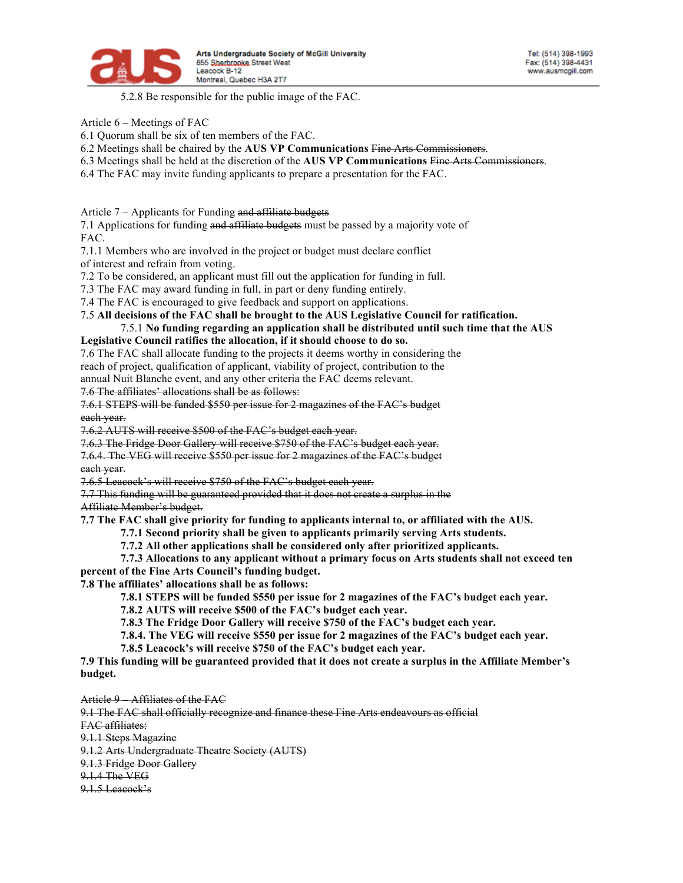

5.2.8 Be responsible for the public image of the FAC.

Article 6 – Meetings of FAC

6.1 Quorum shall be six of ten members of the FAC.

6.2 Meetings shall be chaired by the **AUS VP Communications** Fine Arts Commissioners.

- 6.3 Meetings shall be held at the discretion of the **AUS VP Communications** Fine Arts Commissioners.
- 6.4 The FAC may invite funding applicants to prepare a presentation for the FAC.

Article 7 – Applicants for Funding and affiliate budgets

7.1 Applications for funding and affiliate budgets must be passed by a majority vote of FAC.

7.1.1 Members who are involved in the project or budget must declare conflict

of interest and refrain from voting.

7.2 To be considered, an applicant must fill out the application for funding in full.

7.3 The FAC may award funding in full, in part or deny funding entirely.

7.4 The FAC is encouraged to give feedback and support on applications.

## 7.5 **All decisions of the FAC shall be brought to the AUS Legislative Council for ratification.** 7.5.1 **No funding regarding an application shall be distributed until such time that the AUS**

## **Legislative Council ratifies the allocation, if it should choose to do so.**

7.6 The FAC shall allocate funding to the projects it deems worthy in considering the

reach of project, qualification of applicant, viability of project, contribution to the

annual Nuit Blanche event, and any other criteria the FAC deems relevant.

7.6 The affiliates' allocations shall be as follows:

7.6.1 STEPS will be funded \$550 per issue for 2 magazines of the FAC's budget each year.

7.6.2 AUTS will receive \$500 of the FAC's budget each year.

7.6.3 The Fridge Door Gallery will receive \$750 of the FAC's budget each year.

7.6.4. The VEG will receive \$550 per issue for 2 magazines of the FAC's budget each year.

7.6.5 Leacock's will receive \$750 of the FAC's budget each year.

7.7 This funding will be guaranteed provided that it does not create a surplus in the Affiliate Member's budget.

**7.7 The FAC shall give priority for funding to applicants internal to, or affiliated with the AUS.**

**7.7.1 Second priority shall be given to applicants primarily serving Arts students.**

**7.7.2 All other applications shall be considered only after prioritized applicants.**

**7.7.3 Allocations to any applicant without a primary focus on Arts students shall not exceed ten percent of the Fine Arts Council's funding budget.**

**7.8 The affiliates' allocations shall be as follows:**

**7.8.1 STEPS will be funded \$550 per issue for 2 magazines of the FAC's budget each year.**

**7.8.2 AUTS will receive \$500 of the FAC's budget each year.**

**7.8.3 The Fridge Door Gallery will receive \$750 of the FAC's budget each year.**

**7.8.4. The VEG will receive \$550 per issue for 2 magazines of the FAC's budget each year.**

**7.8.5 Leacock's will receive \$750 of the FAC's budget each year.**

7.9 This funding will be guaranteed provided that it does not create a surplus in the Affiliate Member's **budget.**

Article 9 – Affiliates of the FAC

9.1 The FAC shall officially recognize and finance these Fine Arts endeavours as official

FAC affiliates:

9.1.1 Steps Magazine

9.1.2 Arts Undergraduate Theatre Society (AUTS)

9.1.3 Fridge Door Gallery

9.1.4 The VEG

9.1.5 Leacock's